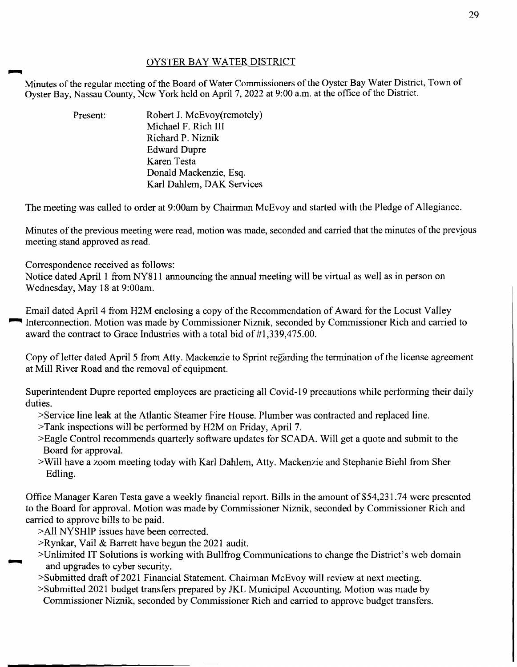## OYSTER BAY WATER DISTRICT

~ Minutes of the regular meeting of the Board of Water Commissioners of the Oyster Bay Water District, Town of Oyster Bay, Nassau County, New York held on April 7, 2022 at 9:00 a.m. at the office of the District.

> Present: Robert J. McEvoy(remotely) Michael F. Rich III Richard P. Niznik Edward Dupre Karen Testa Donald Mackenzie, Esq. Karl Dahlem, DAK Services

The meeting was called to order at 9:00am by Chairman McEvoy and started with the Pledge of Allegiance.

Minutes of the previous meeting were read, motion was made, seconded and carried that the minutes of the previous meeting stand approved as read.

Correspondence received as follows:

Notice dated April 1 from NY811 announcing the annual meeting will be virtual as well as in person on Wednesday, May 18 at 9:00am.

Email dated April 4 from H2M enclosing a copy of the Recommendation of Award for the Locust Valley ~ Interconnection. Motion was made by Commissioner Niznik, seconded by Commissioner Rich and carried to award the contract to Grace Industries with a total bid of  $#1,339,475.00$ .

Copy of letter dated April 5 from Atty. Mackenzie to Sprint regarding the termination of the license agreement at Mill River Road and the removal of equipment.

Superintendent Dupre reported employees are practicing all Covid-19 precautions while performing their daily duties.

- >Service line leak at the Atlantic Steamer Fire House. Plumber was contracted and replaced line.
- >Tank inspections will be performed by H2M on Friday, April 7.
- >Eagle Control recommends quarterly software updates for SCADA. Will get a quote and submit to the Board for approval.
- >Will have a zoom meeting today with Karl Dahlem, Atty. Mackenzie and Stephanie Biehl from Sher Edling.

Office Manager Karen Testa gave a weekly financial report. Bills in the amount of \$54,231.74 were presented to the Board for approval. Motion was made by Commissioner Niznik, seconded by Commissioner Rich and carried to approve bills to be paid.

- >All NY SHIP issues have been corrected.
- >Rynkar, Vail & Barrett have begun the 2021 audit.
- >Unlimited IT Solutions is working with Bullfrog Communications to change the District's web domain and upgrades to cyber security.
- >Submitted draft of 2021 Financial Statement. Chairman McEvoy will review at next meeting.
- >Submitted 2021 budget transfers prepared by JKL Municipal Accounting. Motion was made by
	- Commissioner Niznik, seconded by Commissioner Rich and carried to approve budget transfers.